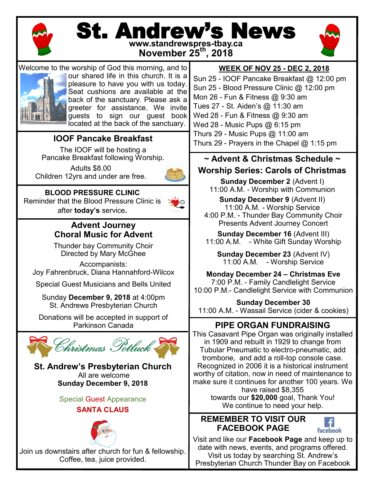

# St. Andrew's News



**www.standrewspres-tbay.ca November 25th, 2018**



Welcome to the worship of God this morning, and to our shared life in this church. It is a pleasure to have you with us today. Seat cushions are available at the back of the sanctuary. Please ask a greeter for assistance. We invite guests to sign our guest book located at the back of the sanctuary.

# **IOOF Pancake Breakfast**

The IOOF will be hosting a Pancake Breakfast following Worship.

Adults \$8.00 Children 12yrs and under are free.



**BLOOD PRESSURE CLINIC** Reminder that the Blood Pressure Clinic is after **today's** service**.** 



# **Advent Journey Choral Music for Advent**

Thunder bay Community Choir Directed by Mary McGhee

Accompanists: Joy Fahrenbruck, Diana Hannahford-Wilcox

Special Guest Musicians and Bells United

Sunday **December 9, 2018** at 4:00pm St. Andrews Presbyterian Church

Donations will be accepted in support of Parkinson Canada



**St. Andrew's Presbyterian Church** All are welcome **Sunday December 9, 2018**

Special Guest Appearance

# **SANTA CLAUS**



Join us downstairs af[ter church](https://www.google.ca/url?sa=i&rct=j&q=&esrc=s&source=images&cd=&cad=rja&uact=8&ved=2ahUKEwiexJeBtePeAhXJhOAKHTh0CoYQjRx6BAgBEAU&url=https%3A%2F%2Fwww.123rf.com%2Fphoto_8284619_classic-santa-claus-head.html&psig=AOvVaw2na3zJWf6KoZRtMsDjePYi&ust=154281849) for fun & fellowship. Coffee, tea, juice provided.

# **WEEK OF NOV 25 - DEC 2, 2018**

Sun 25 - IOOF Pancake Breakfast @ 12:00 pm Sun 25 - Blood Pressure Clinic @ 12:00 pm Mon 26 - Fun & Fitness @ 9:30 am Tues 27 - St. Aiden's @ 11:30 am Wed 28 - Fun & Fitness @ 9:30 am Wed 28 - Music Pups @ 6:15 pm Thurs 29 - Music Pups @ 11:00 am Thurs 29 - Prayers in the Chapel  $@$  1:15 pm

## **~ Advent & Christmas Schedule ~ Worship Series: Carols of Christmas**

**Sunday December 2 (Advent I)** 11:00 A.M. - Worship with Communion

**Sunday December 9** (Advent II) 11:00 A.M. - Worship Service 4:00 P.M. - Thunder Bay Community Choir Presents Advent Journey Concert

**Sunday December 16** (Advent III) 11:00 A.M. - White Gift Sunday Worship

**Sunday December 23** (Advent IV) 11:00 A.M. - Worship Service

**Monday December 24 – Christmas Eve** 7:00 P.M. - Family Candlelight Service 10:00 P.M.- Candlelight Service with Communion

**Sunday December 30** 11:00 A.M. - Wassail Service (cider & cookies)

# **PIPE ORGAN FUNDRAISING**

This Casavant Pipe Organ was originally installed in 1909 and rebuilt in 1929 to change from Tubular Pneumatic to electro-pneumatic, add trombone, and add a roll-top console case. Recognized in 2006 it is a historical instrument worthy of citation, now in need of maintenance to make sure it continues for another 100 years. We have raised \$8,355 towards our **\$20,000** goal, Thank You! We continue to need your help.

# **REMEMBER TO VISIT OUR FACEBOOK PAGE**



Visit and like our **Facebook Page** and keep up to date with news, events, and programs offered. Visit us today by searching St. Andrew's

Presbyterian Church Thunder Bay on Facebook